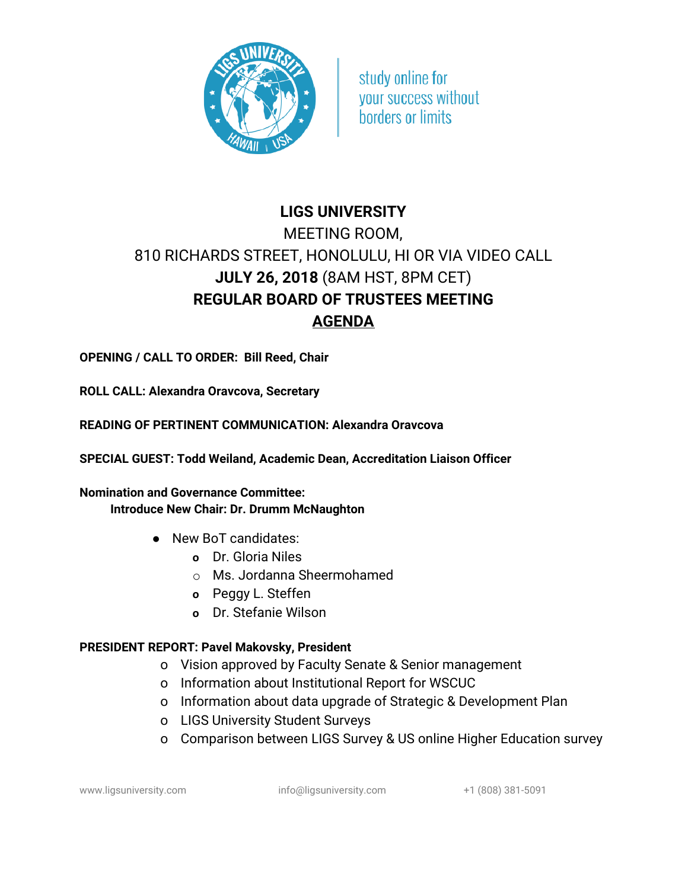

study online for vour success without borders or limits

# **LIGS UNIVERSITY** MEETING ROOM, 810 RICHARDS STREET, HONOLULU, HI OR VIA VIDEO CALL **JULY 26, 2018** (8AM HST, 8PM CET) **REGULAR BOARD OF TRUSTEES MEETING AGENDA**

**OPENING / CALL TO ORDER: Bill Reed, Chair**

**ROLL CALL: Alexandra Oravcova, Secretary**

**READING OF PERTINENT COMMUNICATION: Alexandra Oravcova**

**SPECIAL GUEST: Todd Weiland, Academic Dean, Accreditation Liaison Officer**

**Nomination and Governance Committee: Introduce New Chair: Dr. Drumm McNaughton**

- New BoT candidates:
	- **o** Dr. Gloria Niles
	- o Ms. Jordanna Sheermohamed
	- **o** Peggy L. Steffen
	- **o** Dr. Stefanie Wilson

#### **PRESIDENT REPORT: Pavel Makovsky, President**

- o Vision approved by Faculty Senate & Senior management
- o Information about Institutional Report for WSCUC
- o Information about data upgrade of Strategic & Development Plan
- o LIGS University Student Surveys
- o Comparison between LIGS Survey & US online Higher Education survey

www.ligsuniversity.com info@ligsuniversity.com +1 (808) 381-5091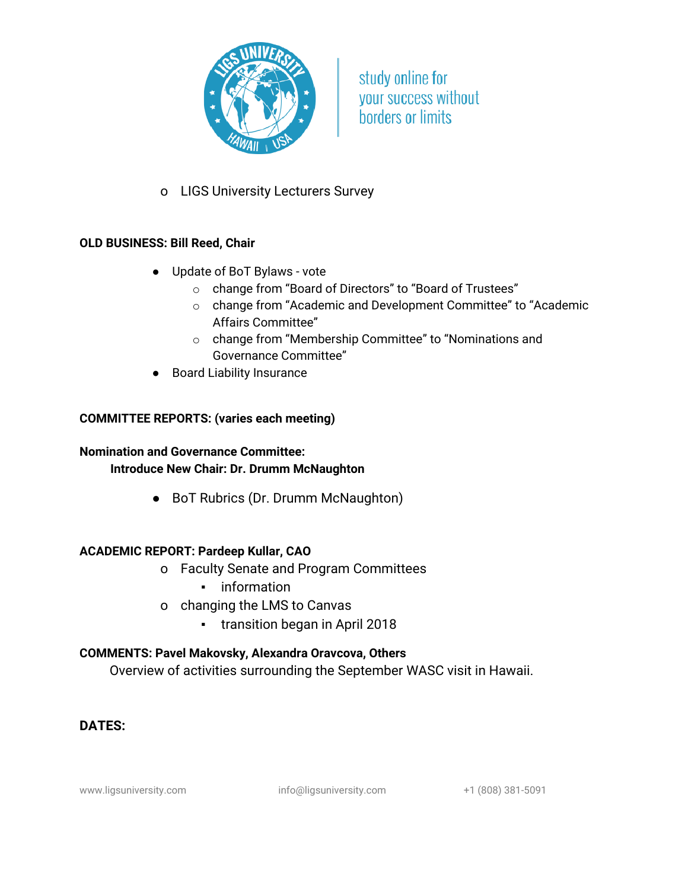

study online for your success without **borders or limits** 

o LIGS University Lecturers Survey

### **OLD BUSINESS: Bill Reed, Chair**

- Update of BoT Bylaws vote
	- o change from "Board of Directors" to "Board of Trustees"
	- o change from "Academic and Development Committee" to "Academic Affairs Committee"
	- o change from "Membership Committee" to "Nominations and Governance Committee"
- Board Liability Insurance

#### **COMMITTEE REPORTS: (varies each meeting)**

## **Nomination and Governance Committee:**

#### **Introduce New Chair: Dr. Drumm McNaughton**

● BoT Rubrics (Dr. Drumm McNaughton)

#### **ACADEMIC REPORT: Pardeep Kullar, CAO**

- o Faculty Senate and Program Committees
	- information
- o changing the LMS to Canvas
	- transition began in April 2018

#### **COMMENTS: Pavel Makovsky, Alexandra Oravcova, Others**

Overview of activities surrounding the September WASC visit in Hawaii.

# **DATES:**